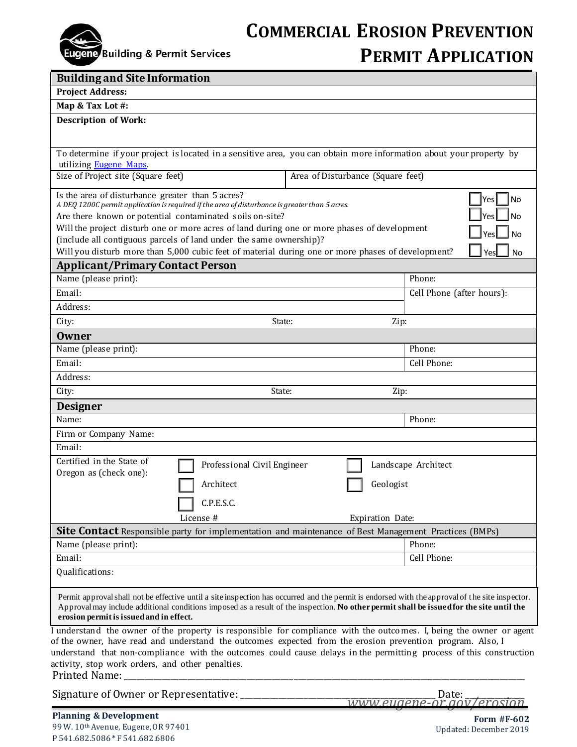

## **COMMERCIAL EROSION PREVENTION PERMIT APPLICATION**

| <b>Building and Site Information</b>                                                                                                                                                                                                                                                                                                                                                                       |                                                                                                                     |
|------------------------------------------------------------------------------------------------------------------------------------------------------------------------------------------------------------------------------------------------------------------------------------------------------------------------------------------------------------------------------------------------------------|---------------------------------------------------------------------------------------------------------------------|
| <b>Project Address:</b>                                                                                                                                                                                                                                                                                                                                                                                    |                                                                                                                     |
| Map & Tax Lot #:                                                                                                                                                                                                                                                                                                                                                                                           |                                                                                                                     |
| <b>Description of Work:</b>                                                                                                                                                                                                                                                                                                                                                                                |                                                                                                                     |
|                                                                                                                                                                                                                                                                                                                                                                                                            |                                                                                                                     |
|                                                                                                                                                                                                                                                                                                                                                                                                            | To determine if your project is located in a sensitive area, you can obtain more information about your property by |
| utilizing Eugene Maps.<br>Size of Project site (Square feet)                                                                                                                                                                                                                                                                                                                                               | Area of Disturbance (Square feet)                                                                                   |
|                                                                                                                                                                                                                                                                                                                                                                                                            |                                                                                                                     |
| Is the area of disturbance greater than 5 acres?<br>No<br>Yes  <br>A DEQ 1200C permit application is required if the area of disturbance is greater than 5 acres.<br>Are there known or potential contaminated soils on-site?<br>Will the project disturb one or more acres of land during one or more phases of development<br>(include all contiguous parcels of land under the same ownership)?         |                                                                                                                     |
| Will you disturb more than 5,000 cubic feet of material during one or more phases of development?<br>No<br>Yes                                                                                                                                                                                                                                                                                             |                                                                                                                     |
| <b>Applicant/Primary Contact Person</b>                                                                                                                                                                                                                                                                                                                                                                    |                                                                                                                     |
| Name (please print):                                                                                                                                                                                                                                                                                                                                                                                       | Phone:                                                                                                              |
| Email:                                                                                                                                                                                                                                                                                                                                                                                                     | Cell Phone (after hours):                                                                                           |
| Address:                                                                                                                                                                                                                                                                                                                                                                                                   |                                                                                                                     |
| State:<br>City:                                                                                                                                                                                                                                                                                                                                                                                            | Zip:                                                                                                                |
| <b>Owner</b>                                                                                                                                                                                                                                                                                                                                                                                               |                                                                                                                     |
| Name (please print):                                                                                                                                                                                                                                                                                                                                                                                       | Phone:                                                                                                              |
| Email:                                                                                                                                                                                                                                                                                                                                                                                                     | Cell Phone:                                                                                                         |
| Address:                                                                                                                                                                                                                                                                                                                                                                                                   |                                                                                                                     |
| City:<br>State:                                                                                                                                                                                                                                                                                                                                                                                            | Zip:                                                                                                                |
| <b>Designer</b>                                                                                                                                                                                                                                                                                                                                                                                            |                                                                                                                     |
| Name:                                                                                                                                                                                                                                                                                                                                                                                                      | Phone:                                                                                                              |
| Firm or Company Name:                                                                                                                                                                                                                                                                                                                                                                                      |                                                                                                                     |
| Email:                                                                                                                                                                                                                                                                                                                                                                                                     |                                                                                                                     |
| Certified in the State of                                                                                                                                                                                                                                                                                                                                                                                  |                                                                                                                     |
| Professional Civil Engineer<br>Oregon as (check one):                                                                                                                                                                                                                                                                                                                                                      | Landscape Architect                                                                                                 |
| Architect                                                                                                                                                                                                                                                                                                                                                                                                  | Geologist                                                                                                           |
| C.P.E.S.C.                                                                                                                                                                                                                                                                                                                                                                                                 |                                                                                                                     |
| License #                                                                                                                                                                                                                                                                                                                                                                                                  | Expiration Date:                                                                                                    |
| <b>Site Contact</b> Responsible party for implementation and maintenance of Best Management Practices (BMPs)                                                                                                                                                                                                                                                                                               |                                                                                                                     |
| Name (please print):                                                                                                                                                                                                                                                                                                                                                                                       | Phone:                                                                                                              |
| Email:                                                                                                                                                                                                                                                                                                                                                                                                     | Cell Phone:                                                                                                         |
| Qualifications:                                                                                                                                                                                                                                                                                                                                                                                            |                                                                                                                     |
| Permit approval shall not be effective until a site inspection has occurred and the permit is endorsed with the approval of the site inspector.<br>Approval may include additional conditions imposed as a result of the inspection. No other permit shall be issued for the site until the<br>erosion permit is issued and in effect.                                                                     |                                                                                                                     |
| I understand the owner of the property is responsible for compliance with the outcomes. I, being the owner or agent<br>of the owner, have read and understand the outcomes expected from the erosion prevention program. Also, I<br>understand that non-compliance with the outcomes could cause delays in the permitting process of this construction<br>activity, stop work orders, and other penalties. |                                                                                                                     |
| Signature of Owner or Representative: ________                                                                                                                                                                                                                                                                                                                                                             | Date:<br>www.eugene-or.gov/erosion                                                                                  |

**Form #F-602** Updated: December 2019